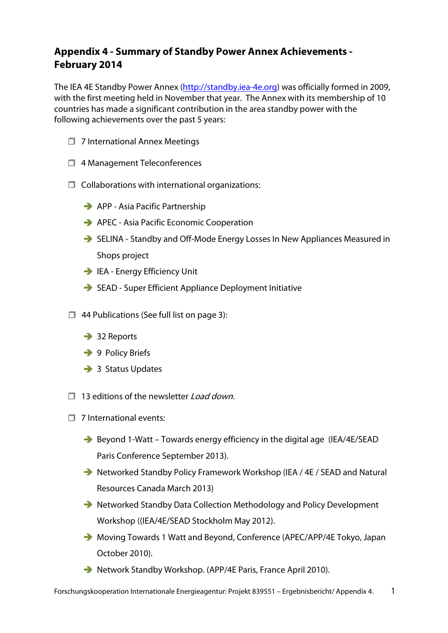# **Appendix 4 - Summary of Standby Power Annex Achievements - February 2014**

The IEA 4E Standby Power Annex (http://standby.iea-4e.org) was officially formed in 2009, with the first meeting held in November that year. The Annex with its membership of 10 countries has made a significant contribution in the area standby power with the following achievements over the past 5 years:

- $\Box$  7 International Annex Meetings
- □ 4 Management Teleconferences
- $\Box$  Collaborations with international organizations:
	- APP Asia Pacific Partnership
	- → APEC Asia Pacific Economic Cooperation
	- → SELINA Standby and Off-Mode Energy Losses In New Appliances Measured in Shops project
	- IEA Energy Efficiency Unit
	- SEAD Super Efficient Appliance Deployment Initiative
- $\Box$  44 Publications (See full list on page 3):
	- → 32 Reports
	- → 9 Policy Briefs
	- → 3 Status Updates
- $\Box$  13 editions of the newsletter Load down.
- $\Box$  7 International events:
	- → Beyond 1-Watt Towards energy efficiency in the digital age (IEA/4E/SEAD Paris Conference September 2013).
	- → Networked Standby Policy Framework Workshop (IEA / 4E / SEAD and Natural Resources Canada March 2013)
	- → Networked Standby Data Collection Methodology and Policy Development Workshop ((IEA/4E/SEAD Stockholm May 2012).
	- → Moving Towards 1 Watt and Beyond, Conference (APEC/APP/4E Tokyo, Japan October 2010).
	- Network Standby Workshop. (APP/4E Paris, France April 2010).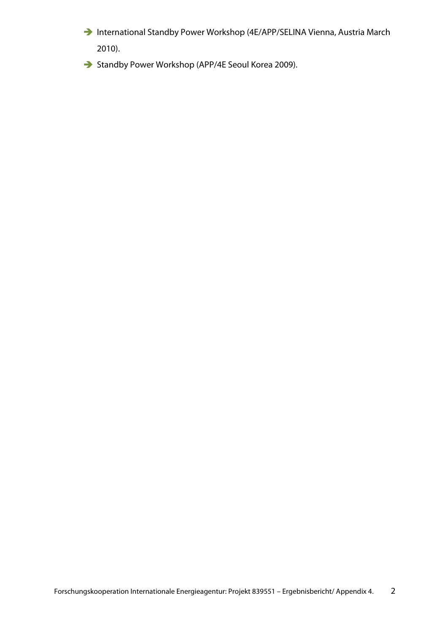- → International Standby Power Workshop (4E/APP/SELINA Vienna, Austria March 2010).
- Standby Power Workshop (APP/4E Seoul Korea 2009).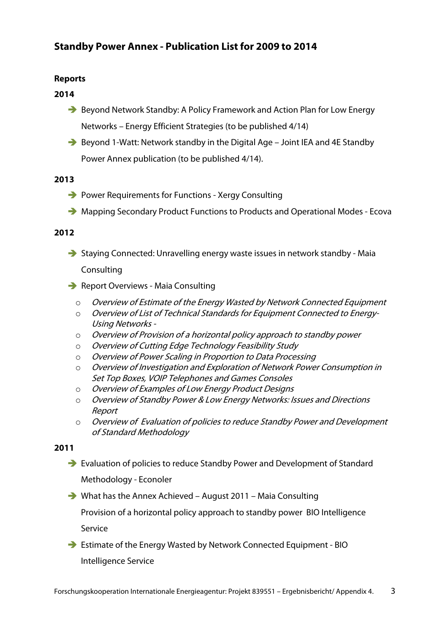# **Standby Power Annex - Publication List for 2009 to 2014**

# **Reports**

## **2014**

- → Beyond Network Standby: A Policy Framework and Action Plan for Low Energy Networks – Energy Efficient Strategies (to be published 4/14)
- → Beyond 1-Watt: Network standby in the Digital Age Joint IEA and 4E Standby Power Annex publication (to be published 4/14).

### **2013**

- → Power Requirements for Functions Xergy Consulting
- → Mapping Secondary Product Functions to Products and Operational Modes Ecova

### **2012**

- Staying Connected: Unravelling energy waste issues in network standby Maia Consulting
- Report Overviews Maia Consulting
	- Overview of Estimate of the Energy Wasted by Network Connected Equipment
	- Overview of List of Technical Standards for Equipment Connected to Energy-Using Networks -
	- $\circ$  Overview of Provision of a horizontal policy approach to standby power
	- Overview of Cutting Edge Technology Feasibility Study
	- Overview of Power Scaling in Proportion to Data Processing
	- Overview of Investigation and Exploration of Network Power Consumption in Set Top Boxes, VOIP Telephones and Games Consoles
	- Overview of Examples of Low Energy Product Designs
	- Overview of Standby Power & Low Energy Networks: Issues and Directions Report
	- Overview of Evaluation of policies to reduce Standby Power and Development of Standard Methodology

# **2011**

- → Evaluation of policies to reduce Standby Power and Development of Standard Methodology - Econoler
- What has the Annex Achieved August 2011 Maia Consulting

Provision of a horizontal policy approach to standby power BIO Intelligence Service

- Estimate of the Energy Wasted by Network Connected Equipment - BIO Intelligence Service